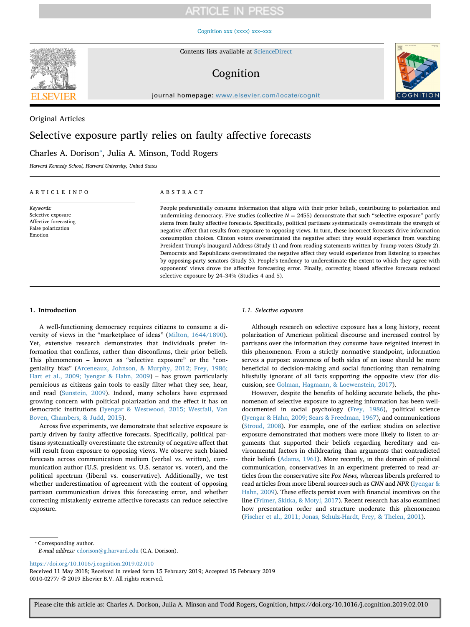# **ARTICLE IN PRESS**

# [Cognition xxx \(xxxx\) xxx–xxx](https://doi.org/10.1016/j.cognition.2019.02.010)



Contents lists available at [ScienceDirect](http://www.sciencedirect.com/science/journal/00100277)

# Cognition



journal homepage: [www.elsevier.com/locate/cognit](https://www.elsevier.com/locate/cognit)

# Original Articles

# Selective exposure partly relies on faulty affective forecasts

# Charles A. Dorison<sup>\*</sup>, Julia A. Minson, Todd Rogers

*Harvard Kennedy School, Harvard University, United States*

# ARTICLE INFO

*Keywords:* Selective exposure Affective forecasting False polarization Emotion

# ABSTRACT

People preferentially consume information that aligns with their prior beliefs, contributing to polarization and undermining democracy. Five studies (collective  $N = 2455$ ) demonstrate that such "selective exposure" partly stems from faulty affective forecasts. Specifically, political partisans systematically overestimate the strength of negative affect that results from exposure to opposing views. In turn, these incorrect forecasts drive information consumption choices. Clinton voters overestimated the negative affect they would experience from watching President Trump's Inaugural Address (Study 1) and from reading statements written by Trump voters (Study 2). Democrats and Republicans overestimated the negative affect they would experience from listening to speeches by opposing-party senators (Study 3). People's tendency to underestimate the extent to which they agree with opponents' views drove the affective forecasting error. Finally, correcting biased affective forecasts reduced selective exposure by 24–34% (Studies 4 and 5).

## **1. Introduction**

A well-functioning democracy requires citizens to consume a diversity of views in the "marketplace of ideas" ([Milton, 1644/1890](#page-9-0)). Yet, extensive research demonstrates that individuals prefer information that confirms, rather than disconfirms, their prior beliefs. This phenomenon – known as "selective exposure" or the "congeniality bias" ([Arceneaux, Johnson, & Murphy, 2012; Frey, 1986;](#page-8-0) [Hart et al., 2009; Iyengar & Hahn, 2009](#page-8-0)) – has grown particularly pernicious as citizens gain tools to easily filter what they see, hear, and read ([Sunstein, 2009\)](#page-9-1). Indeed, many scholars have expressed growing concern with political polarization and the effect it has on democratic institutions ([Iyengar & Westwood, 2015; Westfall, Van](#page-9-2) [Boven, Chambers, & Judd, 2015\)](#page-9-2).

Across five experiments, we demonstrate that selective exposure is partly driven by faulty affective forecasts. Specifically, political partisans systematically overestimate the extremity of negative affect that will result from exposure to opposing views. We observe such biased forecasts across communication medium (verbal vs. written), communication author (U.S. president vs. U.S. senator vs. voter), and the political spectrum (liberal vs. conservative). Additionally, we test whether underestimation of agreement with the content of opposing partisan communication drives this forecasting error, and whether correcting mistakenly extreme affective forecasts can reduce selective exposure.

# *1.1. Selective exposure*

Although research on selective exposure has a long history, recent polarization of American political discourse and increased control by partisans over the information they consume have reignited interest in this phenomenon. From a strictly normative standpoint, information serves a purpose: awareness of both sides of an issue should be more beneficial to decision-making and social functioning than remaining blissfully ignorant of all facts supporting the opposite view (for discussion, see [Golman, Hagmann, & Loewenstein, 2017](#page-8-1)).

However, despite the benefits of holding accurate beliefs, the phenomenon of selective exposure to agreeing information has been welldocumented in social psychology [\(Frey, 1986](#page-8-2)), political science ([Iyengar & Hahn, 2009; Sears & Freedman, 1967](#page-9-3)), and communications ([Stroud, 2008\)](#page-9-4). For example, one of the earliest studies on selective exposure demonstrated that mothers were more likely to listen to arguments that supported their beliefs regarding hereditary and environmental factors in childrearing than arguments that contradicted their beliefs [\(Adams, 1961](#page-8-3)). More recently, in the domain of political communication, conservatives in an experiment preferred to read articles from the conservative site *Fox News,* whereas liberals preferred to read articles from more liberal sources such as *CNN* and *NPR* ([Iyengar &](#page-9-3) [Hahn, 2009](#page-9-3))*.* These effects persist even with financial incentives on the line ([Frimer, Skitka, & Motyl, 2017](#page-8-4)). Recent research has also examined how presentation order and structure moderate this phenomenon ([Fischer et al., 2011; Jonas, Schulz-Hardt, Frey, & Thelen, 2001](#page-8-5)).

<span id="page-0-0"></span>⁎ Corresponding author.

*E-mail address:* [cdorison@g.harvard.edu](mailto:cdorison@g.harvard.edu) (C.A. Dorison).

<https://doi.org/10.1016/j.cognition.2019.02.010>

Received 11 May 2018; Received in revised form 15 February 2019; Accepted 15 February 2019 0010-0277/ © 2019 Elsevier B.V. All rights reserved.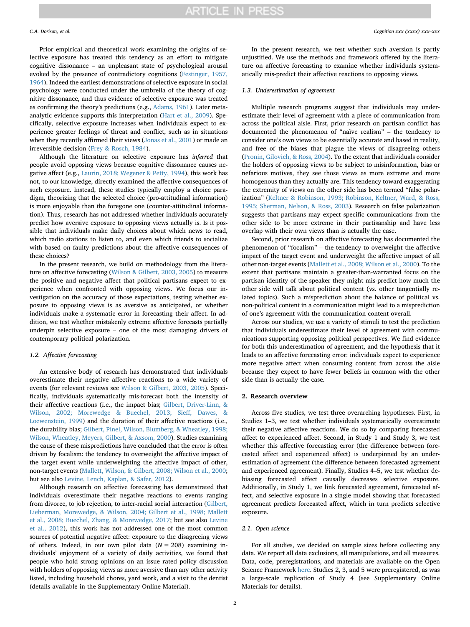Prior empirical and theoretical work examining the origins of selective exposure has treated this tendency as an effort to mitigate cognitive dissonance – an unpleasant state of psychological arousal evoked by the presence of contradictory cognitions ([Festinger, 1957,](#page-8-6) [1964\)](#page-8-6). Indeed the earliest demonstrations of selective exposure in social psychology were conducted under the umbrella of the theory of cognitive dissonance, and thus evidence of selective exposure was treated as confirming the theory's predictions (e.g., [Adams, 1961\)](#page-8-3). Later metaanalytic evidence supports this interpretation ([Hart et al., 2009\)](#page-9-5). Specifically, selective exposure increases when individuals expect to experience greater feelings of threat and conflict, such as in situations when they recently affirmed their views ([Jonas et al., 2001](#page-9-6)) or made an irreversible decision ([Frey & Rosch, 1984](#page-8-7)).

Although the literature on selective exposure has *inferred* that people avoid opposing views because cognitive dissonance causes negative affect (e.g., [Laurin, 2018; Wegener & Petty, 1994](#page-9-7)), this work has not, to our knowledge, directly examined the affective consequences of such exposure. Instead, these studies typically employ a choice paradigm, theorizing that the selected choice (pro-attitudinal information) is more enjoyable than the foregone one (counter-attitudinal information). Thus, research has not addressed whether individuals accurately predict how aversive exposure to opposing views actually is. Is it possible that individuals make daily choices about which news to read, which radio stations to listen to, and even which friends to socialize with based on faulty predictions about the affective consequences of these choices?

In the present research, we build on methodology from the literature on affective forecasting [\(Wilson & Gilbert, 2003, 2005\)](#page-9-8) to measure the positive and negative affect that political partisans expect to experience when confronted with opposing views. We focus our investigation on the accuracy of those expectations, testing whether exposure to opposing views is as aversive as anticipated, or whether individuals make a systematic error in forecasting their affect. In addition, we test whether mistakenly extreme affective forecasts partially underpin selective exposure – one of the most damaging drivers of contemporary political polarization.

# *1.2. Affective forecasting*

An extensive body of research has demonstrated that individuals overestimate their negative affective reactions to a wide variety of events (for relevant reviews see [Wilson & Gilbert, 2003, 2005](#page-9-8)). Specifically, individuals systematically mis-forecast both the intensity of their affective reactions (i.e., the impact bias; [Gilbert, Driver-Linn, &](#page-8-8) [Wilson, 2002; Morewedge & Buechel, 2013; Sieff, Dawes, &](#page-8-8) [Loewenstein, 1999\)](#page-8-8) and the duration of their affective reactions (i.e., the durability bias; [Gilbert, Pinel, Wilson, Blumberg, & Wheatley, 1998;](#page-8-9) [Wilson, Wheatley, Meyers, Gilbert, & Axsom, 2000\)](#page-8-9). Studies examining the cause of these mispredictions have concluded that the error is often driven by focalism: the tendency to overweight the affective impact of the target event while underweighting the affective impact of other, non-target events ([Mallett, Wilson, & Gilbert, 2008; Wilson et al., 2000](#page-9-9); but see also [Levine, Lench, Kaplan, & Safer, 2012](#page-9-10)).

Although research on affective forecasting has demonstrated that individuals overestimate their negative reactions to events ranging from divorce, to job rejection, to inter-racial social interaction ([Gilbert,](#page-8-10) [Lieberman, Morewedge, & Wilson, 2004; Gilbert et al., 1998; Mallett](#page-8-10) [et al., 2008; Buechel, Zhang, & Morewedge, 2017;](#page-8-10) but see also [Levine](#page-9-10) [et al., 2012](#page-9-10)), this work has not addressed one of the most common sources of potential negative affect: exposure to the disagreeing views of others. Indeed, in our own pilot data  $(N = 208)$  examining individuals' enjoyment of a variety of daily activities, we found that people who hold strong opinions on an issue rated policy discussion with holders of opposing views as more aversive than any other activity listed, including household chores, yard work, and a visit to the dentist (details available in the Supplementary Online Material).

In the present research, we test whether such aversion is partly unjustified. We use the methods and framework offered by the literature on affective forecasting to examine whether individuals systematically mis-predict their affective reactions to opposing views.

#### *1.3. Underestimation of agreement*

Multiple research programs suggest that individuals may underestimate their level of agreement with a piece of communication from across the political aisle. First, prior research on partisan conflict has documented the phenomenon of "naïve realism" – the tendency to consider one's own views to be essentially accurate and based in reality, and free of the biases that plague the views of disagreeing others ([Pronin, Gilovich, & Ross, 2004](#page-9-11)). To the extent that individuals consider the holders of opposing views to be subject to misinformation, bias or nefarious motives, they see those views as more extreme and more homogenous than they actually are. This tendency toward exaggerating the extremity of views on the other side has been termed "false polarization" [\(Keltner & Robinson, 1993; Robinson, Keltner, Ward, & Ross,](#page-9-12) [1995; Sherman, Nelson, & Ross, 2003](#page-9-12)). Research on false polarization suggests that partisans may expect specific communications from the other side to be more extreme in their partisanship and have less overlap with their own views than is actually the case.

Second, prior research on affective forecasting has documented the phenomenon of "focalism" – the tendency to overweight the affective impact of the target event and underweight the affective impact of all other non-target events ([Mallett et al., 2008; Wilson et al., 2000](#page-9-9)). To the extent that partisans maintain a greater-than-warranted focus on the partisan identity of the speaker they might mis-predict how much the other side will talk about political content (vs. other tangentially related topics). Such a misprediction about the balance of political vs. non-political content in a communication might lead to a misprediction of one's agreement with the communication content overall.

Across our studies, we use a variety of stimuli to test the prediction that individuals underestimate their level of agreement with communications supporting opposing political perspectives. We find evidence for both this underestimation of agreement, and the hypothesis that it leads to an affective forecasting error: individuals expect to experience more negative affect when consuming content from across the aisle because they expect to have fewer beliefs in common with the other side than is actually the case.

#### **2. Research overview**

Across five studies, we test three overarching hypotheses. First, in Studies 1–3, we test whether individuals systematically overestimate their negative affective reactions. We do so by comparing forecasted affect to experienced affect. Second, in Study 1 and Study 3, we test whether this affective forecasting error (the difference between forecasted affect and experienced affect) is underpinned by an underestimation of agreement (the difference between forecasted agreement and experienced agreement). Finally, Studies 4–5, we test whether debiasing forecasted affect causally decreases selective exposure. Additionally, in Study 1, we link forecasted agreement, forecasted affect, and selective exposure in a single model showing that forecasted agreement predicts forecasted affect, which in turn predicts selective exposure.

# *2.1. Open science*

For all studies, we decided on sample sizes before collecting any data. We report all data exclusions, all manipulations, and all measures. Data, code, preregistrations, and materials are available on the Open Science Framework [here.](https://osf.io/7mqej/?view_only=490346e17b8745bd877bd13b196c368c) Studies 2, 3, and 5 were preregistered, as was a large-scale replication of Study 4 (see Supplementary Online Materials for details).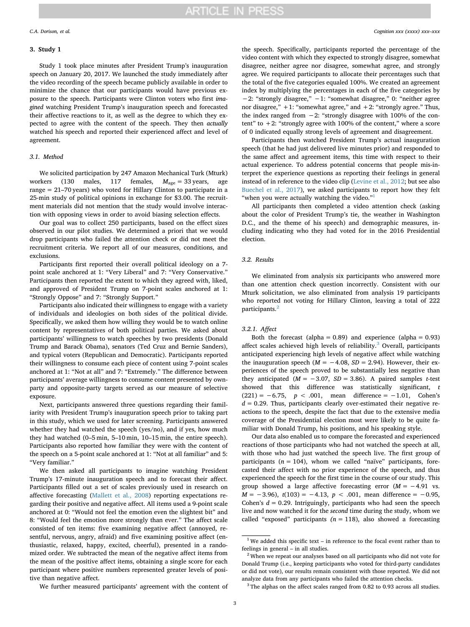# **3. Study 1**

Study 1 took place minutes after President Trump's inauguration speech on January 20, 2017. We launched the study immediately after the video recording of the speech became publicly available in order to minimize the chance that our participants would have previous exposure to the speech. Participants were Clinton voters who first *imagined* watching President Trump's inauguration speech and forecasted their affective reactions to it, as well as the degree to which they expected to agree with the content of the speech. They then *actually* watched his speech and reported their experienced affect and level of agreement.

# *3.1. Method*

We solicited participation by 247 Amazon Mechanical Turk (Mturk) workers (130 males, 117 females,  $M_{\text{age}} = 33 \text{ years}$ , age range = 21–70 years) who voted for Hillary Clinton to participate in a 25-min study of political opinions in exchange for \$3.00. The recruitment materials did not mention that the study would involve interaction with opposing views in order to avoid biasing selection effects.

Our goal was to collect 250 participants, based on the effect sizes observed in our pilot studies. We determined a priori that we would drop participants who failed the attention check or did not meet the recruitment criteria. We report all of our measures, conditions, and exclusions.

Participants first reported their overall political ideology on a 7 point scale anchored at 1: "Very Liberal" and 7: "Very Conservative." Participants then reported the extent to which they agreed with, liked, and approved of President Trump on 7-point scales anchored at 1: "Strongly Oppose" and 7: "Strongly Support."

Participants also indicated their willingness to engage with a variety of individuals and ideologies on both sides of the political divide. Specifically, we asked them how willing they would be to watch online content by representatives of both political parties. We asked about participants' willingness to watch speeches by two presidents (Donald Trump and Barack Obama), senators (Ted Cruz and Bernie Sanders), and typical voters (Republican and Democratic). Participants reported their willingness to consume each piece of content using 7-point scales anchored at 1: "Not at all" and 7: "Extremely." The difference between participants' average willingness to consume content presented by ownparty and opposite-party targets served as our measure of selective exposure.

Next, participants answered three questions regarding their familiarity with President Trump's inauguration speech prior to taking part in this study, which we used for later screening. Participants answered whether they had watched the speech (yes/no), and if yes, how much they had watched (0–5 min, 5–10 min, 10–15 min, the entire speech). Participants also reported how familiar they were with the content of the speech on a 5-point scale anchored at 1: "Not at all familiar" and 5: "Very familiar."

We then asked all participants to imagine watching President Trump's 17-minute inauguration speech and to forecast their affect. Participants filled out a set of scales previously used in research on affective forecasting ([Mallett et al., 2008](#page-9-9)) reporting expectations regarding their positive and negative affect. All items used a 9-point scale anchored at 0: "Would not feel the emotion even the slightest bit" and 8: "Would feel the emotion more strongly than ever." The affect scale consisted of ten items: five examining negative affect (annoyed, resentful, nervous, angry, afraid) and five examining positive affect (enthusiastic, relaxed, happy, excited, cheerful), presented in a randomized order. We subtracted the mean of the negative affect items from the mean of the positive affect items, obtaining a single score for each participant where positive numbers represented greater levels of positive than negative affect.

the speech. Specifically, participants reported the percentage of the video content with which they expected to strongly disagree, somewhat disagree, neither agree nor disagree, somewhat agree, and strongly agree. We required participants to allocate their percentages such that the total of the five categories equaled 100%. We created an agreement index by multiplying the percentages in each of the five categories by −2: "strongly disagree," −1: "somewhat disagree," 0: "neither agree nor disagree,"  $+1$ : "somewhat agree," and  $+2$ : "strongly agree." Thus, the index ranged from −2: "strongly disagree with 100% of the content" to  $+2$ : "strongly agree with 100% of the content," where a score of 0 indicated equally strong levels of agreement and disagreement.

Participants then watched President Trump's actual inauguration speech (that he had just delivered live minutes prior) and responded to the same affect and agreement items, this time with respect to their actual experience. To address potential concerns that people mis-interpret the experience questions as reporting their feelings in general instead of in reference to the video clip [\(Levine et al., 2012;](#page-9-10) but see also [Buechel et al., 2017\)](#page-8-11), we asked participants to report how they felt "when you were actually watching the video."

All participants then completed a video attention check (asking about the color of President Trump's tie, the weather in Washington D.C., and the theme of his speech) and demographic measures, including indicating who they had voted for in the 2016 Presidential election.

# *3.2. Results*

We eliminated from analysis six participants who answered more than one attention check question incorrectly. Consistent with our Mturk solicitation, we also eliminated from analysis 19 participants who reported not voting for Hillary Clinton, leaving a total of 222 participants.<sup>[2](#page-2-1)</sup>

# *3.2.1. Affect*

Both the forecast (alpha =  $0.89$ ) and experience (alpha =  $0.93$ ) affect scales achieved high levels of reliability.<sup>[3](#page-2-2)</sup> Overall, participants anticipated experiencing high levels of negative affect while watching the inauguration speech ( $M = -4.08$ ,  $SD = 2.94$ ). However, their experiences of the speech proved to be substantially less negative than they anticipated ( $M = -3.07$ ,  $SD = 3.86$ ). A paired samples *t*-test showed that this difference was statistically significant, *t*  $(221) = -6.75$ ,  $p < .001$ , mean difference =  $-1.01$ , Cohen's  $d = 0.29$ . Thus, participants clearly over-estimated their negative reactions to the speech, despite the fact that due to the extensive media coverage of the Presidential election most were likely to be quite familiar with Donald Trump, his positions, and his speaking style.

Our data also enabled us to compare the forecasted and experienced reactions of those participants who had not watched the speech at all, with those who had just watched the speech live. The first group of participants  $(n = 104)$ , whom we called "naïve" participants, forecasted their affect with no prior experience of the speech, and thus experienced the speech for the first time in the course of our study. This group showed a large affective forecasting error (*M* = −4.91 vs. *M* = −3.96), *t*(103) = −4.13, *p* < .001, mean difference = −0.95, Cohen's *d* = 0.29. Intriguingly, participants who had seen the speech live and now watched it for the *second* time during the study, whom we called "exposed" participants  $(n = 118)$ , also showed a forecasting

We further measured participants' agreement with the content of

<span id="page-2-0"></span> $1$  We added this specific text – in reference to the focal event rather than to feelings in general – in all studies.

<span id="page-2-1"></span> $2$  When we repeat our analyses based on all participants who did not vote for Donald Trump (i.e., keeping participants who voted for third-party candidates or did not vote), our results remain consistent with those reported. We did not analyze data from any participants who failed the attention checks.

<span id="page-2-2"></span><sup>&</sup>lt;sup>3</sup> The alphas on the affect scales ranged from 0.82 to 0.93 across all studies.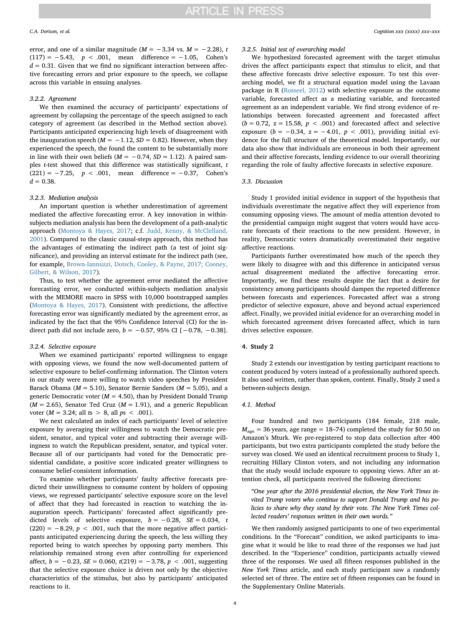error, and one of a similar magnitude ( $M = -3.34$  vs.  $M = -2.28$ ), *t*  $(117) = -5.43$ ,  $p < .001$ , mean difference =  $-1.05$ , Cohen's  $d = 0.31$ . Given that we find no significant interaction between affective forecasting errors and prior exposure to the speech, we collapse across this variable in ensuing analyses.

# *3.2.2. Agreement*

We then examined the accuracy of participants' expectations of agreement by collapsing the percentage of the speech assigned to each category of agreement (as described in the Method section above). Participants anticipated experiencing high levels of disagreement with the inauguration speech  $(M = -1.12, SD = 0.82)$ . However, when they experienced the speech, the found the content to be substantially more in line with their own beliefs ( $M = -0.74$ ,  $SD = 1.12$ ). A paired samples *t*-test showed that this difference was statistically significant, *t*  $(221) = -7.25$ ,  $p < .001$ , mean difference =  $-0.37$ , Cohen's  $d = 0.38$ .

#### *3.2.3. Mediation analysis*

An important question is whether underestimation of agreement mediated the affective forecasting error. A key innovation in withinsubjects mediation analysis has been the development of a path-analytic approach ([Montoya & Hayes, 2017;](#page-9-13) c.f. [Judd, Kenny, & McClelland,](#page-9-14) [2001\)](#page-9-14). Compared to the classic causal-steps approach, this method has the advantages of estimating the indirect path (a test of joint significance), and providing an interval estimate for the indirect path (see, for example, [Brown-Iannuzzi, Dotsch, Cooley, & Payne, 2017; Cooney,](#page-8-12) [Gilbert, & Wilson, 2017](#page-8-12)).

Thus, to test whether the agreement error mediated the affective forecasting error, we conducted within-subjects mediation analysis with the MEMORE macro in SPSS with 10,000 bootstrapped samples ([Montoya & Hayes, 2017\)](#page-9-13). Consistent with predictions, the affective forecasting error was significantly mediated by the agreement error, as indicated by the fact that the 95% Confidence Interval (CI) for the indirect path did not include zero,  $b = -0.57$ , 95% CI [ $-0.78$ ,  $-0.38$ ].

# *3.2.4. Selective exposure*

When we examined participants' reported willingness to engage with opposing views, we found the now well-documented pattern of selective exposure to belief-confirming information. The Clinton voters in our study were more willing to watch video speeches by President Barack Obama (*M* = 5.10), Senator Bernie Sanders (*M* = 5.05), and a generic Democratic voter ( $M = 4.50$ ), than by President Donald Trump  $(M = 2.65)$ , Senator Ted Cruz  $(M = 1.91)$ , and a generic Republican voter (*M* = 3.24; all *t*s > 8, all *p*s < .001).

We next calculated an index of each participants' level of selective exposure by averaging their willingness to watch the Democratic president, senator, and typical voter and subtracting their average willingness to watch the Republican president, senator, and typical voter. Because all of our participants had voted for the Democratic presidential candidate, a positive score indicated greater willingness to consume belief-consistent information.

To examine whether participants' faulty affective forecasts predicted their unwillingness to consume content by holders of opposing views, we regressed participants' selective exposure score on the level of affect that they had forecasted in reaction to watching the inauguration speech. Participants' forecasted affect significantly predicted levels of selective exposure,  $b = -0.28$ ,  $SE = 0.034$ , *t*  $(220) = -8.29$ ,  $p < .001$ , such that the more negative affect participants anticipated experiencing during the speech, the less willing they reported being to watch speeches by opposing party members. This relationship remained strong even after controlling for experienced affect, *b* = −0.23, *SE* = 0.060, *t*(219) = −3.78, *p* < .001, suggesting that the selective exposure choice is driven not only by the objective characteristics of the stimulus, but also by participants' anticipated reactions to it.

### *3.2.5. Initial test of overarching model*

We hypothesized forecasted agreement with the target stimulus drives the affect participants expect that stimulus to elicit, and that these affective forecasts drive selective exposure. To test this overarching model, we fit a structural equation model using the Lavaan package in R ([Rosseel, 2012](#page-9-15)) with selective exposure as the outcome variable, forecasted affect as a mediating variable, and forecasted agreement as an independent variable. We find strong evidence of relationships between forecasted agreement and forecasted affect  $(b = 0.72, z = 15.58, p < .001)$  and forecasted affect and selective exposure  $(b = -0.34, z = -4.01, p < .001)$ , providing initial evidence for the full structure of the theoretical model. Importantly, our data also show that individuals are erroneous in both their agreement and their affective forecasts, lending evidence to our overall theorizing regarding the role of faulty affective forecasts in selective exposure.

# *3.3. Discussion*

Study 1 provided initial evidence in support of the hypothesis that individuals overestimate the negative affect they will experience from consuming opposing views. The amount of media attention devoted to the presidential campaign might suggest that voters would have accurate forecasts of their reactions to the new president. However, in reality, Democratic voters dramatically overestimated their negative affective reactions.

Participants further overestimated how much of the speech they were likely to disagree with and this difference in anticipated versus actual disagreement mediated the affective forecasting error. Importantly, we find these results despite the fact that a desire for consistency among participants should dampen the reported difference between forecasts and experiences. Forecasted affect was a strong predictor of selective exposure, above and beyond actual experienced affect. Finally, we provided initial evidence for an overarching model in which forecasted agreement drives forecasted affect, which in turn drives selective exposure.

# **4. Study 2**

Study 2 extends our investigation by testing participant reactions to content produced by voters instead of a professionally authored speech. It also used written, rather than spoken, content. Finally, Study 2 used a between-subjects design.

# *4.1. Method*

Four hundred and two participants (184 female, 218 male,  $M<sub>aze</sub> = 36$  years, age range = 18–74) completed the study for \$0.50 on Amazon's Mturk. We pre-registered to stop data collection after 400 participants, but two extra participants completed the study before the survey was closed. We used an identical recruitment process to Study 1, recruiting Hillary Clinton voters, and not including any information that the study would include exposure to opposing views. After an attention check, all participants received the following directions:

*"One year after the 2016 presidential election, the New York Times invited Trump voters who continue to support Donald Trump and his policies to share why they stand by their vote. The New York Times collected readers' responses written in their own words."*

We then randomly assigned participants to one of two experimental conditions. In the "Forecast" condition, we asked participants to imagine what it would be like to read three of the responses we had just described. In the "Experience" condition, participants actually viewed three of the responses. We used all fifteen responses published in the *New York Times* article, and each study participant saw a randomly selected set of three. The entire set of fifteen responses can be found in the Supplementary Online Materials.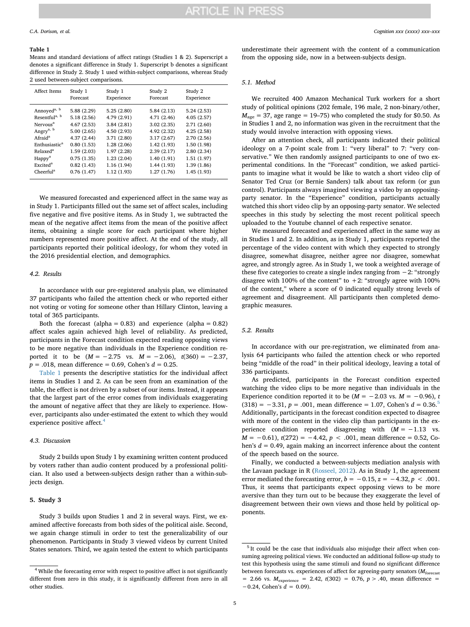### <span id="page-4-0"></span>**Table 1**

Means and standard deviations of affect ratings (Studies 1 & 2). Superscript a denotes a significant difference in Study 1. Superscript b denotes a significant difference in Study 2. Study 1 used within-subject comparisons, whereas Study 2 used between-subject comparisons.

| Affect Items              | Study 1     | Study 1     | Study 2     | Study 2    |
|---------------------------|-------------|-------------|-------------|------------|
|                           | Forecast    | Experience  | Forecast    | Experience |
| Annoyed <sup>a, b</sup>   | 5.88 (2.29) | 5.25(2.80)  | 5.84(2.13)  | 5.24(2.53) |
| Resentful <sup>a, b</sup> | 5.18 (2.56) | 4.79 (2.91) | 4.71 (2.46) | 4.05(2.57) |
| Nervous <sup>a</sup>      | 4.67(2.53)  | 3.84(2.81)  | 3.02(2.35)  | 2.71(2.60) |
| Angry <sup>a, b</sup>     | 5.00(2.65)  | 4.50(2.93)  | 4.92 (2.32) | 4.25(2.58) |
| Afraid <sup>a</sup>       | 4.37(2.44)  | 3.71(2.80)  | 3.17(2.67)  | 2.70(2.56) |
| Enthusiastic <sup>a</sup> | 0.80(1.53)  | 1.28(2.06)  | 1.42(1.93)  | 1.50(1.98) |
| Relaxed <sup>a</sup>      | 1.59(2.03)  | 1.97(2.28)  | 2.39(2.17)  | 2.80(2.34) |
| Happy <sup>a</sup>        | 0.75(1.35)  | 1.23(2.04)  | 1.40(1.91)  | 1.51(1.97) |
| Excited <sup>a</sup>      | 0.82(1.43)  | 1.16(1.94)  | 1.44(1.93)  | 1.39(1.86) |
| Cheerful <sup>a</sup>     | 0.76(1.47)  | 1.12(1.93)  | 1.27(1.76)  | 1.45(1.93) |

We measured forecasted and experienced affect in the same way as in Study 1. Participants filled out the same set of affect scales, including five negative and five positive items. As in Study 1, we subtracted the mean of the negative affect items from the mean of the positive affect items, obtaining a single score for each participant where higher numbers represented more positive affect. At the end of the study, all participants reported their political ideology, for whom they voted in the 2016 presidential election, and demographics.

# *4.2. Results*

In accordance with our pre-registered analysis plan, we eliminated 37 participants who failed the attention check or who reported either not voting or voting for someone other than Hillary Clinton, leaving a total of 365 participants.

Both the forecast (alpha =  $0.83$ ) and experience (alpha =  $0.82$ ) affect scales again achieved high level of reliability. As predicted, participants in the Forecast condition expected reading opposing views to be more negative than individuals in the Experience condition reported it to be (*M* = −2.75 vs. *M* = −2.06), *t*(360) = −2.37, *p* = .018, mean difference = 0.69, Cohen's *d* = 0.25.

[Table 1](#page-4-0) presents the descriptive statistics for the individual affect items in Studies 1 and 2. As can be seen from an examination of the table, the effect is not driven by a subset of our items. Instead, it appears that the largest part of the error comes from individuals exaggerating the amount of negative affect that they are likely to experience. However, participants also under-estimated the extent to which they would experience positive affect.<sup>[4](#page-4-1)</sup>

# *4.3. Discussion*

Study 2 builds upon Study 1 by examining written content produced by voters rather than audio content produced by a professional politician. It also used a between-subjects design rather than a within-subjects design.

#### **5. Study 3**

Study 3 builds upon Studies 1 and 2 in several ways. First, we examined affective forecasts from both sides of the political aisle. Second, we again change stimuli in order to test the generalizability of our phenomenon. Participants in Study 3 viewed videos by current United States senators. Third, we again tested the extent to which participants

underestimate their agreement with the content of a communication from the opposing side, now in a between-subjects design.

#### *5.1. Method*

We recruited 400 Amazon Mechanical Turk workers for a short study of political opinions (202 female, 196 male, 2 non-binary/other,  $M<sub>age</sub> = 37$ , age range = 19–75) who completed the study for \$0.50. As in Studies 1 and 2, no information was given in the recruitment that the study would involve interaction with opposing views.

After an attention check, all participants indicated their political ideology on a 7-point scale from 1: "very liberal" to 7: "very conservative." We then randomly assigned participants to one of two experimental conditions. In the "Forecast" condition, we asked participants to imagine what it would be like to watch a short video clip of Senator Ted Cruz (or Bernie Sanders) talk about tax reform (or gun control). Participants always imagined viewing a video by an opposingparty senator. In the "Experience" condition, participants actually watched this short video clip by an opposing-party senator. We selected speeches in this study by selecting the most recent political speech uploaded to the Youtube channel of each respective senator.

We measured forecasted and experienced affect in the same way as in Studies 1 and 2. In addition, as in Study 1, participants reported the percentage of the video content with which they expected to strongly disagree, somewhat disagree, neither agree nor disagree, somewhat agree, and strongly agree. As in Study 1, we took a weighted average of these five categories to create a single index ranging from −2: "strongly disagree with 100% of the content" to  $+2$ : "strongly agree with 100% of the content," where a score of 0 indicated equally strong levels of agreement and disagreement. All participants then completed demographic measures.

# *5.2. Results*

In accordance with our pre-registration, we eliminated from analysis 64 participants who failed the attention check or who reported being "middle of the road" in their political ideology, leaving a total of 336 participants.

As predicted, participants in the Forecast condition expected watching the video clips to be more negative than individuals in the Experience condition reported it to be  $(M = -2.03 \text{ vs. } M = -0.96)$ , *t* (318) = −3.31, *p* = .001, mean difference = 1.07, Cohen's *d* = 0.36[.5](#page-4-2) Additionally, participants in the forecast condition expected to disagree with more of the content in the video clip than participants in the experience condition reported disagreeing with (*M* = −1.13 vs. *M* = −0.61), *t*(272) = −4.42, *p* < .001, mean difference = 0.52, Cohen's  $d = 0.49$ , again making an incorrect inference about the content of the speech based on the source.

Finally, we conducted a between-subjects mediation analysis with the Lavaan package in R ([Rosseel, 2012](#page-9-15)). As in Study 1, the agreement error mediated the forecasting error,  $b = -0.15$ ,  $z = -4.32$ ,  $p < .001$ . Thus, it seems that participants expect opposing views to be more aversive than they turn out to be because they exaggerate the level of disagreement between their own views and those held by political opponents.

<span id="page-4-1"></span><sup>4</sup> While the forecasting error with respect to positive affect is not significantly different from zero in this study, it is significantly different from zero in all other studies.

<span id="page-4-2"></span><sup>&</sup>lt;sup>5</sup> It could be the case that individuals also misjudge their affect when consuming agreeing political views. We conducted an additional follow-up study to test this hypothesis using the same stimuli and found no significant difference between forecasts vs. experiences of affect for agreeing-party senators ( $M_{\text{forecast}}$  $= 2.66$  vs.  $M_{\text{experiences}} = 2.42$ ,  $t(302) = 0.76$ ,  $p > .40$ , mean difference = −0.24, Cohen's *d* = 0.09).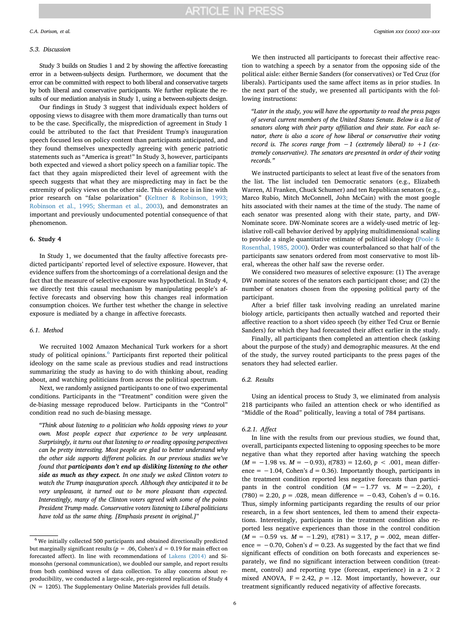### *5.3. Discussion*

Study 3 builds on Studies 1 and 2 by showing the affective forecasting error in a between-subjects design. Furthermore, we document that the error can be committed with respect to both liberal and conservative targets by both liberal and conservative participants. We further replicate the results of our mediation analysis in Study 1, using a between-subjects design.

Our findings in Study 3 suggest that individuals expect holders of opposing views to disagree with them more dramatically than turns out to be the case. Specifically, the misprediction of agreement in Study 1 could be attributed to the fact that President Trump's inauguration speech focused less on policy content than participants anticipated, and they found themselves unexpectedly agreeing with generic patriotic statements such as "America is great!" In Study 3, however, participants both expected and viewed a short policy speech on a familiar topic. The fact that they again mispredicted their level of agreement with the speech suggests that what they are mispredicting may in fact be the extremity of policy views on the other side. This evidence is in line with prior research on "false polarization" [\(Keltner & Robinson, 1993;](#page-9-12) [Robinson et al., 1995; Sherman et al., 2003\)](#page-9-12), and demonstrates an important and previously undocumented potential consequence of that phenomenon.

# **6. Study 4**

In Study 1, we documented that the faulty affective forecasts predicted participants' reported level of selective exposure. However, that evidence suffers from the shortcomings of a correlational design and the fact that the measure of selective exposure was hypothetical. In Study 4, we directly test this causal mechanism by manipulating people's affective forecasts and observing how this changes real information consumption choices. We further test whether the change in selective exposure is mediated by a change in affective forecasts.

# *6.1. Method*

We recruited 1002 Amazon Mechanical Turk workers for a short study of political opinions.<sup>[6](#page-5-0)</sup> Participants first reported their political ideology on the same scale as previous studies and read instructions summarizing the study as having to do with thinking about, reading about, and watching politicians from across the political spectrum.

Next, we randomly assigned participants to one of two experimental conditions. Participants in the "Treatment" condition were given the de-biasing message reproduced below. Participants in the "Control" condition read no such de-biasing message.

*"Think about listening to a politician who holds opposing views to your own. Most people expect that experience to be very unpleasant. Surprisingly, it turns out that listening to or reading opposing perspectives can be pretty interesting. Most people are glad to better understand why the other side supports different policies. In our previous studies we've found that participants don't end up disliking listening to the other side as much as they expect. In one study we asked Clinton voters to watch the Trump inauguration speech. Although they anticipated it to be very unpleasant, it turned out to be more pleasant than expected. Interestingly, many of the Clinton voters agreed with some of the points President Trump made. Conservative voters listening to Liberal politicians have told us the same thing. [Emphasis present in original.]*"

We then instructed all participants to forecast their affective reaction to watching a speech by a senator from the opposing side of the political aisle: either Bernie Sanders (for conservatives) or Ted Cruz (for liberals). Participants used the same affect items as in prior studies. In the next part of the study, we presented all participants with the following instructions:

*"Later in the study, you will have the opportunity to read the press pages of several current members of the United States Senate. Below is a list of senators along with their party affiliation and their state. For each senator, there is also a score of how liberal or conservative their voting record is. The scores range from* −*1 (extremely liberal) to +1 (extremely conservative). The senators are presented in order of their voting records."*

We instructed participants to select at least five of the senators from the list. The list included ten Democratic senators (e.g., Elizabeth Warren, Al Franken, Chuck Schumer) and ten Republican senators (e.g., Marco Rubio, Mitch McConnell, John McCain) with the most google hits associated with their names at the time of the study. The name of each senator was presented along with their state, party, and DW-Nominate score. DW-Nominate scores are a widely-used metric of legislative roll-call behavior derived by applying multidimensional scaling to provide a single quantitative estimate of political ideology ([Poole &](#page-9-16) [Rosenthal, 1985, 2000\)](#page-9-16). Order was counterbalanced so that half of the participants saw senators ordered from most conservative to most liberal, whereas the other half saw the reverse order.

We considered two measures of selective exposure: (1) The average DW nominate scores of the senators each participant chose; and (2) the number of senators chosen from the opposing political party of the participant.

After a brief filler task involving reading an unrelated marine biology article, participants then actually watched and reported their affective reaction to a short video speech (by either Ted Cruz or Bernie Sanders) for which they had forecasted their affect earlier in the study.

Finally, all participants then completed an attention check (asking about the purpose of the study) and demographic measures. At the end of the study, the survey routed participants to the press pages of the senators they had selected earlier.

#### *6.2. Results*

Using an identical process to Study 3, we eliminated from analysis 218 participants who failed an attention check or who identified as "Middle of the Road" politically, leaving a total of 784 partisans.

#### *6.2.1. Affect*

In line with the results from our previous studies, we found that, overall, participants expected listening to opposing speeches to be more negative than what they reported after having watching the speech (*M* = −1.98 vs. *M* = −0.93), *t*(783) = 12.60, *p* < .001, mean difference =  $-1.04$ , Cohen's  $d = 0.36$ ). Importantly though, participants in the treatment condition reported less negative forecasts than participants in the control condition  $(M = -1.77$  vs.  $M = -2.20$ , *t*  $(780) = 2.20, p = .028$ , mean difference = -0.43, Cohen's  $d = 0.16$ . Thus, simply informing participants regarding the results of our prior research, in a few short sentences, led them to amend their expectations. Interestingly, participants in the treatment condition also reported less negative experiences than those in the control condition (*M* = −0.59 vs. *M* = −1.29), *t*(781) = 3.17, *p* = .002, mean difference =  $-0.70$ , Cohen's  $d = 0.23$ . As suggested by the fact that we find significant effects of condition on both forecasts and experiences separately, we find no significant interaction between condition (treatment, control) and reporting type (forecast, experience) in a  $2 \times 2$ mixed ANOVA,  $F = 2.42$ ,  $p = .12$ . Most importantly, however, our treatment significantly reduced negativity of affective forecasts.

<span id="page-5-0"></span><sup>6</sup> We initially collected 500 participants and obtained directionally predicted but marginally significant results ( $p = .06$ , Cohen's  $d = 0.19$  for main effect on forecasted affect). In line with recommendations of [Lakens \(2014\)](#page-9-17) and Simonsohn (personal communication), we doubled our sample, and report results from both combined waves of data collection. To allay concerns about reproducibility, we conducted a large-scale, pre-registered replication of Study 4  $(N = 1205)$ . The Supplementary Online Materials provides full details.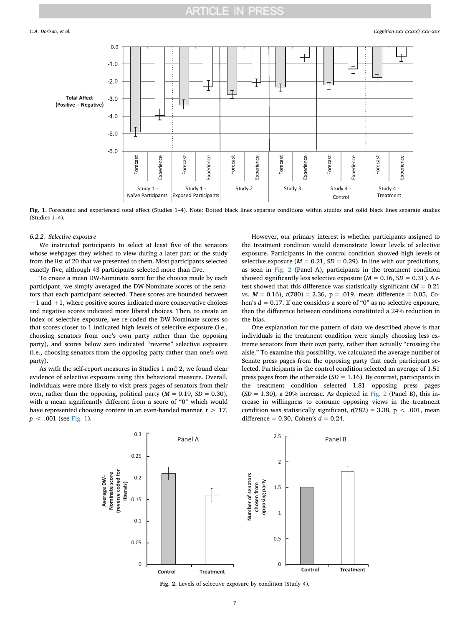<span id="page-6-0"></span>

**Fig. 1.** Forecasted and experienced total affect (Studies 1–4). Note: Dotted black lines separate conditions within studies and solid black lines separate studies (Studies 1–4).

# *6.2.2. Selective exposure*

We instructed participants to select at least five of the senators whose webpages they wished to view during a later part of the study from the list of 20 that we presented to them. Most participants selected exactly five, although 43 participants selected more than five.

To create a mean DW-Nominate score for the choices made by each participant, we simply averaged the DW-Nominate scores of the senators that each participant selected. These scores are bounded between −1 and +1, where positive scores indicated more conservative choices and negative scores indicated more liberal choices. Then, to create an index of selective exposure, we re-coded the DW-Nominate scores so that scores closer to 1 indicated high levels of selective exposure (i.e., choosing senators from one's own party rather than the opposing party), and scores below zero indicated "reverse" selective exposure (i.e., choosing senators from the opposing party rather than one's own party).

<span id="page-6-1"></span>As with the self-report measures in Studies 1 and 2, we found clear evidence of selective exposure using this behavioral measure. Overall, individuals were more likely to visit press pages of senators from their own, rather than the opposing, political party  $(M = 0.19, SD = 0.30)$ , with a mean significantly different from a score of "0″ which would have represented choosing content in an even-handed manner, *t* > 17, *p* < .001 (see [Fig. 1](#page-6-0)).

However, our primary interest is whether participants assigned to the treatment condition would demonstrate lower levels of selective exposure. Participants in the control condition showed high levels of selective exposure  $(M = 0.21, SD = 0.29)$ . In line with our predictions, as seen in [Fig. 2](#page-6-1) (Panel A), participants in the treatment condition showed significantly less selective exposure  $(M = 0.16, SD = 0.31)$ . A *t*test showed that this difference was statistically significant  $(M = 0.21)$ vs. *M* = 0.16), *t*(780) = 2.36, p = .019, mean difference = 0.05, Cohen's *d* = 0.17. If one considers a score of "0" as no selective exposure, then the difference between conditions constituted a 24% reduction in the bias.

One explanation for the pattern of data we described above is that individuals in the treatment condition were simply choosing less extreme senators from their own party, rather than actually "crossing the aisle." To examine this possibility, we calculated the average number of Senate press pages from the opposing party that each participant selected. Participants in the control condition selected an average of 1.51 press pages from the other side (*SD* = 1.16). By contrast, participants in the treatment condition selected 1.81 opposing press pages  $(SD = 1.30)$ , a 20% increase. As depicted in [Fig. 2](#page-6-1) (Panel B), this increase in willingness to consume opposing views in the treatment condition was statistically significant,  $t(782) = 3.38$ ,  $p < .001$ , mean difference = 0.30, Cohen's *d* = 0.24.



**Fig. 2.** Levels of selective exposure by condition (Study 4).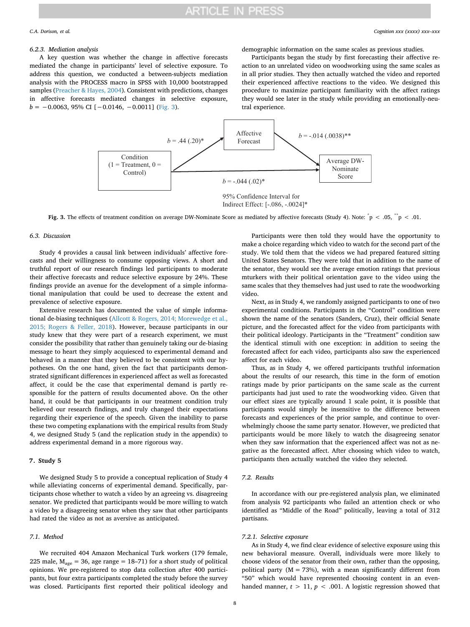# **ARTICLE IN PRESS**

### *6.2.3. Mediation analysis*

A key question was whether the change in affective forecasts mediated the change in participants' level of selective exposure. To address this question, we conducted a between-subjects mediation analysis with the PROCESS macro in SPSS with 10,000 bootstrapped samples [\(Preacher & Hayes, 2004](#page-9-18)). Consistent with predictions, changes in affective forecasts mediated changes in selective exposure,  $b = -0.0063, 95\% \text{ CI} [-0.0146, -0.0011] \text{ (Fig. 3)}.$  $b = -0.0063, 95\% \text{ CI} [-0.0146, -0.0011] \text{ (Fig. 3)}.$  $b = -0.0063, 95\% \text{ CI} [-0.0146, -0.0011] \text{ (Fig. 3)}.$ 

demographic information on the same scales as previous studies.

Participants began the study by first forecasting their affective reaction to an unrelated video on woodworking using the same scales as in all prior studies. They then actually watched the video and reported their experienced affective reactions to the video. We designed this procedure to maximize participant familiarity with the affect ratings they would see later in the study while providing an emotionally-neutral experience.

<span id="page-7-0"></span>

Fig. 3. The effects of treatment condition on average DW-Nominate Score as mediated by affective forecasts (Study 4). Note:  $\degree$  p < .05,  $\degree$  p < .01.

### *6.3. Discussion*

Study 4 provides a causal link between individuals' affective forecasts and their willingness to consume opposing views. A short and truthful report of our research findings led participants to moderate their affective forecasts and reduce selective exposure by 24%. These findings provide an avenue for the development of a simple informational manipulation that could be used to decrease the extent and prevalence of selective exposure.

Extensive research has documented the value of simple informational de-biasing techniques ([Allcott & Rogers, 2014; Morewedge et al.,](#page-8-13) [2015; Rogers & Feller, 2018](#page-8-13)). However, because participants in our study knew that they were part of a research experiment, we must consider the possibility that rather than genuinely taking our de-biasing message to heart they simply acquiesced to experimental demand and behaved in a manner that they believed to be consistent with our hypotheses. On the one hand, given the fact that participants demonstrated significant differences in experienced affect as well as forecasted affect, it could be the case that experimental demand is partly responsible for the pattern of results documented above. On the other hand, it could be that participants in our treatment condition truly believed our research findings, and truly changed their expectations regarding their experience of the speech. Given the inability to parse these two competing explanations with the empirical results from Study 4, we designed Study 5 (and the replication study in the appendix) to address experimental demand in a more rigorous way.

# **7. Study 5**

We designed Study 5 to provide a conceptual replication of Study 4 while alleviating concerns of experimental demand. Specifically, participants chose whether to watch a video by an agreeing vs. disagreeing senator. We predicted that participants would be more willing to watch a video by a disagreeing senator when they saw that other participants had rated the video as not as aversive as anticipated.

# *7.1. Method*

We recruited 404 Amazon Mechanical Turk workers (179 female, 225 male,  $M_{\text{age}} = 36$ , age range = 18–71) for a short study of political opinions. We pre-registered to stop data collection after 400 participants, but four extra participants completed the study before the survey was closed. Participants first reported their political ideology and

Participants were then told they would have the opportunity to make a choice regarding which video to watch for the second part of the study. We told them that the videos we had prepared featured sitting United States Senators. They were told that in addition to the name of the senator, they would see the average emotion ratings that previous mturkers with their political orientation gave to the video using the same scales that they themselves had just used to rate the woodworking video.

Next, as in Study 4, we randomly assigned participants to one of two experimental conditions. Participants in the "Control" condition were shown the name of the senators (Sanders, Cruz), their official Senate picture, and the forecasted affect for the video from participants with their political ideology. Participants in the "Treatment" condition saw the identical stimuli with one exception: in addition to seeing the forecasted affect for each video, participants also saw the experienced affect for each video.

Thus, as in Study 4, we offered participants truthful information about the results of our research, this time in the form of emotion ratings made by prior participants on the same scale as the current participants had just used to rate the woodworking video. Given that our effect sizes are typically around 1 scale point, it is possible that participants would simply be insensitive to the difference between forecasts and experiences of the prior sample, and continue to overwhelmingly choose the same party senator. However, we predicted that participants would be more likely to watch the disagreeing senator when they saw information that the experienced affect was not as negative as the forecasted affect. After choosing which video to watch, participants then actually watched the video they selected.

# *7.2. Results*

In accordance with our pre-registered analysis plan, we eliminated from analysis 92 participants who failed an attention check or who identified as "Middle of the Road" politically, leaving a total of 312 partisans.

# *7.2.1. Selective exposure*

As in Study 4, we find clear evidence of selective exposure using this new behavioral measure. Overall, individuals were more likely to choose videos of the senator from their own, rather than the opposing, political party ( $M = 73\%$ ), with a mean significantly different from "50" which would have represented choosing content in an evenhanded manner,  $t > 11$ ,  $p < .001$ . A logistic regression showed that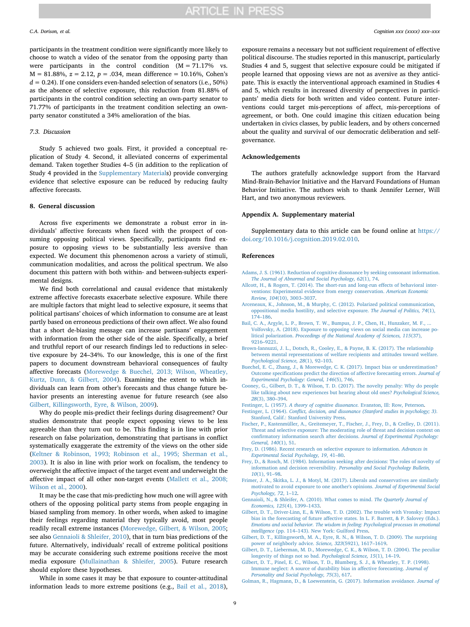participants in the treatment condition were significantly more likely to choose to watch a video of the senator from the opposing party than were participants in the control condition  $(M = 71.17\%$  vs. M = 81.88%, *z* = 2.12, *p* = .034, mean difference = 10.16%, Cohen's  $d = 0.24$ ). If one considers even-handed selection of senators (i.e., 50%) as the absence of selective exposure, this reduction from 81.88% of participants in the control condition selecting an own-party senator to 71.77% of participants in the treatment condition selecting an ownparty senator constituted a 34% amelioration of the bias.

# *7.3. Discussion*

Study 5 achieved two goals. First, it provided a conceptual replication of Study 4. Second, it alleviated concerns of experimental demand. Taken together Studies 4–5 (in addition to the replication of Study 4 provided in the Supplementary Materials) provide converging evidence that selective exposure can be reduced by reducing faulty affective forecasts.

#### **8. General discussion**

Across five experiments we demonstrate a robust error in individuals' affective forecasts when faced with the prospect of consuming opposing political views. Specifically, participants find exposure to opposing views to be substantially less aversive than expected. We document this phenomenon across a variety of stimuli, communication modalities, and across the political spectrum. We also document this pattern with both within- and between-subjects experimental designs.

We find both correlational and causal evidence that mistakenly extreme affective forecasts exacerbate selective exposure. While there are multiple factors that might lead to selective exposure, it seems that political partisans' choices of which information to consume are at least partly based on erroneous predictions of their own affect. We also found that a short de-biasing message can increase partisans' engagement with information from the other side of the aisle. Specifically, a brief and truthful report of our research findings led to reductions in selective exposure by 24–34%. To our knowledge, this is one of the first papers to document downstream behavioral consequences of faulty affective forecasts ([Morewedge & Buechel, 2013; Wilson, Wheatley,](#page-9-19) [Kurtz, Dunn, & Gilbert, 2004](#page-9-19)). Examining the extent to which individuals can learn from other's forecasts and thus change future behavior presents an interesting avenue for future research (see also [Gilbert, Killingsworth, Eyre, & Wilson, 2009](#page-8-14)).

Why do people mis-predict their feelings during disagreement? Our studies demonstrate that people expect opposing views to be less agreeable than they turn out to be. This finding is in line with prior research on false polarization, demonstrating that partisans in conflict systematically exaggerate the extremity of the views on the other side ([Keltner & Robinson, 1993; Robinson et al., 1995; Sherman et al.,](#page-9-12) [2003\)](#page-9-12). It is also in line with prior work on focalism, the tendency to overweight the affective impact of the target event and underweight the affective impact of all other non-target events ([Mallett et al., 2008;](#page-9-9) [Wilson et al., 2000](#page-9-9)).

It may be the case that mis-predicting how much one will agree with others of the opposing political party stems from people engaging in biased sampling from memory. In other words, when asked to imagine their feelings regarding material they typically avoid, most people readily recall extreme instances ([Morewedge, Gilbert, & Wilson, 2005](#page-9-20); see also [Gennaioli & Shleifer, 2010\)](#page-8-15), that in turn bias predictions of the future. Alternatively, individuals' recall of extreme political positions may be accurate considering such extreme positions receive the most media exposure [\(Mullainathan & Shleifer, 2005](#page-9-21)). Future research should explore these hypotheses.

While in some cases it may be that exposure to counter-attitudinal information leads to more extreme positions (e.g., [Bail et al., 2018](#page-8-16)),

exposure remains a necessary but not sufficient requirement of effective political discourse. The studies reported in this manuscript, particularly Studies 4 and 5, suggest that selective exposure could be mitigated if people learned that opposing views are not as aversive as they anticipate. This is exactly the interventional approach examined in Studies 4 and 5, which results in increased diversity of perspectives in participants' media diets for both written and video content. Future interventions could target mis-perceptions of affect, mis-perceptions of agreement, or both. One could imagine this citizen education being undertaken in civics classes, by public leaders, and by others concerned about the quality and survival of our democratic deliberation and selfgovernance.

# **Acknowledgements**

The authors gratefully acknowledge support from the Harvard Mind-Brain-Behavior Initiative and the Harvard Foundations of Human Behavior Initiative. The authors wish to thank Jennifer Lerner, Will Hart, and two anonymous reviewers.

#### **Appendix A. Supplementary material**

Supplementary data to this article can be found online at [https://](https://doi.org/10.1016/j.cognition.2019.02.010) [doi.org/10.1016/j.cognition.2019.02.010](https://doi.org/10.1016/j.cognition.2019.02.010).

#### **References**

- <span id="page-8-3"></span>[Adams, J. S. \(1961\). Reduction of cognitive dissonance by seeking consonant information.](http://refhub.elsevier.com/S0010-0277(19)30037-X/h0005) *[The Journal of Abnormal and Social Psychology, 62](http://refhub.elsevier.com/S0010-0277(19)30037-X/h0005)*(1), 74.
- <span id="page-8-13"></span>[Allcott, H., & Rogers, T. \(2014\). The short-run and long-run effects of behavioral inter](http://refhub.elsevier.com/S0010-0277(19)30037-X/h0010)[ventions: Experimental evidence from energy conservation.](http://refhub.elsevier.com/S0010-0277(19)30037-X/h0010) *American Economic Review, 104*[\(10\), 3003–3037.](http://refhub.elsevier.com/S0010-0277(19)30037-X/h0010)
- <span id="page-8-0"></span>[Arceneaux, K., Johnson, M., & Murphy, C. \(2012\). Polarized political communication,](http://refhub.elsevier.com/S0010-0277(19)30037-X/h0015) [oppositional media hostility, and selective exposure.](http://refhub.elsevier.com/S0010-0277(19)30037-X/h0015) *The Journal of Politics, 74*(1), [174–186](http://refhub.elsevier.com/S0010-0277(19)30037-X/h0015).
- <span id="page-8-16"></span>Bail, C. A., Argyle, L. P., Brown, T. W., Bumpus, J. P., Chen, H., Hunzaker, M. F., . [Volfovsky, A. \(2018\). Exposure to opposing views on social media can increase po](http://refhub.elsevier.com/S0010-0277(19)30037-X/h0020)litical polarization. *[Proceedings of the National Academy of Sciences, 115](http://refhub.elsevier.com/S0010-0277(19)30037-X/h0020)*(37), [9216–9221](http://refhub.elsevier.com/S0010-0277(19)30037-X/h0020).
- <span id="page-8-12"></span>[Brown-Iannuzzi, J. L., Dotsch, R., Cooley, E., & Payne, B. K. \(2017\). The relationship](http://refhub.elsevier.com/S0010-0277(19)30037-X/h0025) [between mental representations of welfare recipients and attitudes toward welfare.](http://refhub.elsevier.com/S0010-0277(19)30037-X/h0025) *[Psychological Science, 28](http://refhub.elsevier.com/S0010-0277(19)30037-X/h0025)*(1), 92–103.
- <span id="page-8-11"></span>[Buechel, E. C., Zhang, J., & Morewedge, C. K. \(2017\). Impact bias or underestimation?](http://refhub.elsevier.com/S0010-0277(19)30037-X/h0030) [Outcome specifications predict the direction of affective forecasting errors.](http://refhub.elsevier.com/S0010-0277(19)30037-X/h0030) *Journal of [Experimental Psychology: General, 146](http://refhub.elsevier.com/S0010-0277(19)30037-X/h0030)*(5), 746.
- [Cooney, G., Gilbert, D. T., & Wilson, T. D. \(2017\). The novelty penalty: Why do people](http://refhub.elsevier.com/S0010-0277(19)30037-X/h0035) [like talking about new experiences but hearing about old ones?](http://refhub.elsevier.com/S0010-0277(19)30037-X/h0035) *Psychological Science, 28*[\(3\), 380–394.](http://refhub.elsevier.com/S0010-0277(19)30037-X/h0035)
- <span id="page-8-6"></span>Festinger, L. (1957). *[A theory of cognitive dissonance.](http://refhub.elsevier.com/S0010-0277(19)30037-X/h0040)* Evanston, Ill: Row, Peterson.
- Festinger, L. (1964). *[Conflict, decision, and dissonance \(Stanford studies in psychology; 3\).](http://refhub.elsevier.com/S0010-0277(19)30037-X/h0045)* [Stanford, Calif.: Stanford University Press.](http://refhub.elsevier.com/S0010-0277(19)30037-X/h0045)
- <span id="page-8-5"></span>[Fischer, P., Kastenmüller, A., Greitemeyer, T., Fischer, J., Frey, D., & Crelley, D. \(2011\).](http://refhub.elsevier.com/S0010-0277(19)30037-X/h0050) [Threat and selective exposure: The moderating role of threat and decision context on](http://refhub.elsevier.com/S0010-0277(19)30037-X/h0050) [confirmatory information search after decisions.](http://refhub.elsevier.com/S0010-0277(19)30037-X/h0050) *Journal of Experimental Psychology: [General, 140](http://refhub.elsevier.com/S0010-0277(19)30037-X/h0050)*(1), 51.
- <span id="page-8-2"></span>[Frey, D. \(1986\). Recent research on selective exposure to information.](http://refhub.elsevier.com/S0010-0277(19)30037-X/h0055) *Advances in [Experimental Social Psychology, 19](http://refhub.elsevier.com/S0010-0277(19)30037-X/h0055)*, 41–80.
- <span id="page-8-7"></span>[Frey, D., & Rosch, M. \(1984\). Information seeking after decisions: The roles of novelty of](http://refhub.elsevier.com/S0010-0277(19)30037-X/h0060) information and decision reversibility. *[Personality and Social Psychology Bulletin,](http://refhub.elsevier.com/S0010-0277(19)30037-X/h0060) 10*[\(1\), 91–98](http://refhub.elsevier.com/S0010-0277(19)30037-X/h0060).
- <span id="page-8-4"></span>[Frimer, J. A., Skitka, L. J., & Motyl, M. \(2017\). Liberals and conservatives are similarly](http://refhub.elsevier.com/S0010-0277(19)30037-X/h0065) [motivated to avoid exposure to one another's opinions.](http://refhub.elsevier.com/S0010-0277(19)30037-X/h0065) *Journal of Experimental Social [Psychology, 72](http://refhub.elsevier.com/S0010-0277(19)30037-X/h0065)*, 1–12.
- <span id="page-8-15"></span>[Gennaioli, N., & Shleifer, A. \(2010\). What comes to mind.](http://refhub.elsevier.com/S0010-0277(19)30037-X/h0070) *The Quarterly Journal of Economics, 125*[\(4\), 1399–1433](http://refhub.elsevier.com/S0010-0277(19)30037-X/h0070).
- <span id="page-8-8"></span>[Gilbert, D. T., Driver-Linn, E., & Wilson, T. D. \(2002\). The trouble with Vronsky: Impact](http://refhub.elsevier.com/S0010-0277(19)30037-X/h0075) [bias in the forecasting of future affective states. In L. F. Barrett, & P. Salovey \(Eds.\).](http://refhub.elsevier.com/S0010-0277(19)30037-X/h0075) *[Emotions and social behavior. The wisdom in feeling: Psychological processes in emotional](http://refhub.elsevier.com/S0010-0277(19)30037-X/h0075) intelligence* [\(pp. 114–143\). New York: Guilford Press.](http://refhub.elsevier.com/S0010-0277(19)30037-X/h0075)
- <span id="page-8-14"></span>[Gilbert, D. T., Killingsworth, M. A., Eyre, R. N., & Wilson, T. D. \(2009\). The surprising](http://refhub.elsevier.com/S0010-0277(19)30037-X/h0080) [power of neighborly advice.](http://refhub.elsevier.com/S0010-0277(19)30037-X/h0080) *Science, 323*(5921), 1617–1619.
- <span id="page-8-10"></span>[Gilbert, D. T., Lieberman, M. D., Morewedge, C. K., & Wilson, T. D. \(2004\). The peculiar](http://refhub.elsevier.com/S0010-0277(19)30037-X/h0085) [longevity of things not so bad.](http://refhub.elsevier.com/S0010-0277(19)30037-X/h0085) *Psychological Science, 15*(1), 14–19.
- <span id="page-8-9"></span>[Gilbert, D. T., Pinel, E. C., Wilson, T. D., Blumberg, S. J., & Wheatley, T. P. \(1998\).](http://refhub.elsevier.com/S0010-0277(19)30037-X/h0090) [Immune neglect: A source of durability bias in affective forecasting.](http://refhub.elsevier.com/S0010-0277(19)30037-X/h0090) *Journal of [Personality and Social Psychology, 75](http://refhub.elsevier.com/S0010-0277(19)30037-X/h0090)*(3), 617.
- <span id="page-8-1"></span>[Golman, R., Hagmann, D., & Loewenstein, G. \(2017\). Information avoidance.](http://refhub.elsevier.com/S0010-0277(19)30037-X/h0095) *Journal of*